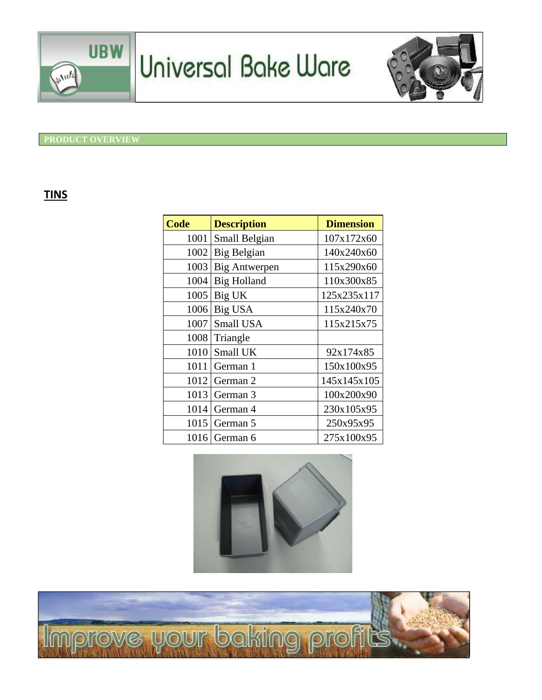

# Universal Bake Ware



#### **PRODUCT OVERVIEW**

### **TINS**

| <b>Code</b> | <b>Description</b>   | <b>Dimension</b> |
|-------------|----------------------|------------------|
| 1001        | Small Belgian        | 107x172x60       |
| 1002        | Big Belgian          | 140x240x60       |
| 1003        | <b>Big Antwerpen</b> | 115x290x60       |
| 1004        | <b>Big Holland</b>   | 110x300x85       |
| 1005        | Big UK               | 125x235x117      |
| 1006        | Big USA              | 115x240x70       |
| 1007        | Small USA            | 115x215x75       |
| 1008        | Triangle             |                  |
| 1010        | Small UK             | 92x174x85        |
| 1011        | German 1             | 150x100x95       |
| 1012        | German 2             | 145x145x105      |
| 1013        | German 3             | 100x200x90       |
| 1014        | German 4             | 230x105x95       |
| 1015        | German 5             | 250x95x95        |
| 1016        | German 6             | 275x100x95       |



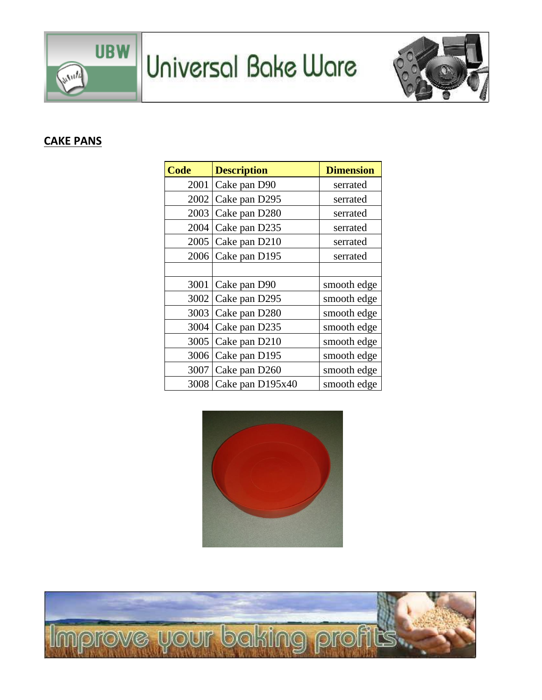

Universal Bake Ware



## **CAKE PANS**

| <b>Code</b> | <b>Description</b> | <b>Dimension</b> |
|-------------|--------------------|------------------|
| 2001        | Cake pan D90       | serrated         |
| 2002        | Cake pan D295      | serrated         |
| 2003        | Cake pan D280      | serrated         |
| 2004        | Cake pan D235      | serrated         |
| 2005        | Cake pan D210      | serrated         |
| 2006        | Cake pan D195      | serrated         |
|             |                    |                  |
| 3001        | Cake pan D90       | smooth edge      |
| 3002        | Cake pan D295      | smooth edge      |
| 3003        | Cake pan D280      | smooth edge      |
| 3004        | Cake pan D235      | smooth edge      |
| 3005        | Cake pan D210      | smooth edge      |
| 3006        | Cake pan D195      | smooth edge      |
| 3007        | Cake pan D260      | smooth edge      |
| 3008        | Cake pan D195x40   | smooth edge      |